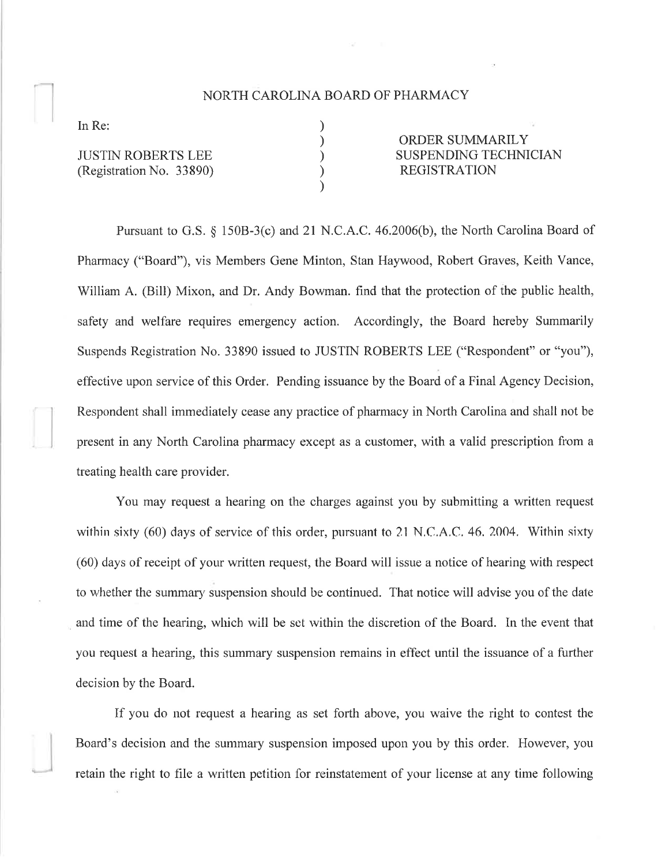## NORTH CAROLINA BOARD OF PHARMACY

) ) ) ) )

In Re:

JUSTIN ROBERTS LEE (Registration No. 33890)

ORDER SUMMARILY SUSPENDING TECHNICIAN REGISTRATION

Pursuant to G.S. \$ 1508-3(c) and 21 N.C.A.C. 46.2006(b), the North Carolina Board of Pharmacy ("Board"), vis Members Gene Minton, Stan Haywood, Robert Graves, Keith Vance, William A. (Bill) Mixon, and Dr. Andy Bowman. find that the protection of the public health, safety and welfare requires emergency action. Accordingly, the Board hereby Summarily Suspends Registration No. 33890 issued to JUSTIN ROBERTS LEE ("Respondent" or "you"), effective upon service of this Order. Pending issuance by the Board of a Final Agency Decision, Respondent shall immediately cease any practice of pharmacy in North Carolina and shall not be present in any North Carolina pharmacy except as a customer, with a valid prescription from a treating health care provider.

You may request a hearing on the charges against you by submitting a written request within sixty  $(60)$  days of service of this order, pursuant to 21 N.C.A.C. 46, 2004. Within sixty (60) days of receipt of your written request, the Board will issue a notice of hearing with respect to whether the summary suspension should be continued. That notice will advise you of the date and time of the hearing, which will be set within the discretion of the Board. In the event that you request a hearing, this summary suspension remains in effect until the issuance of a further decision by the Board.

If you do not request a hearing as set forth above, you waive the right to contest the Board's decision and the summary suspension imposed upon you by this order. However, you retain the right to file a written petition for reinstatement of your license at any time following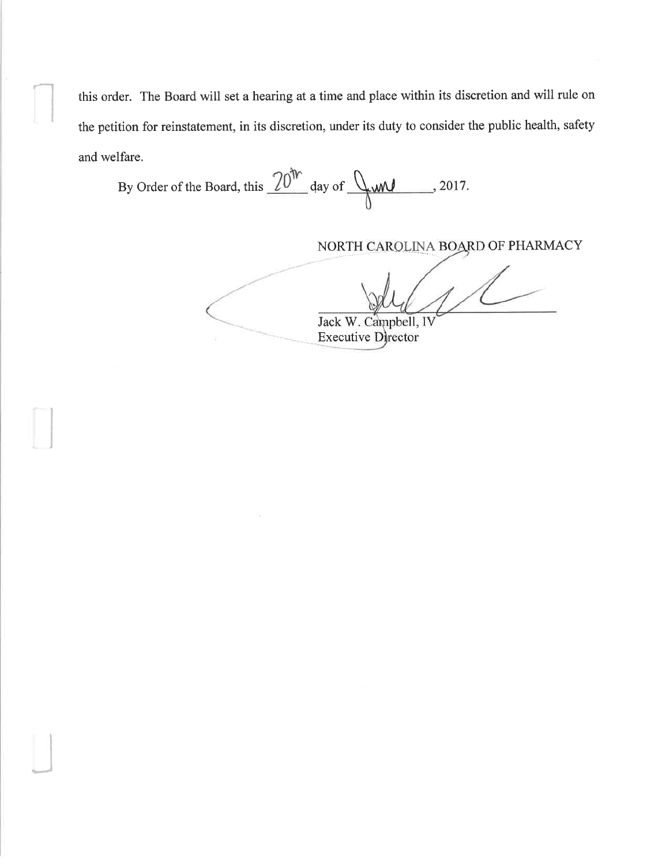this order. The Board will set a hearing at a time and place within its discretion and will rule on the petition for reinstatement, in its discretion, under its duty to consider the public health, safety and welfare.

By Order of the Board, this  $\frac{20^{\text{th}}}{\text{atay of}}$  day of  $\sqrt{\text{and}}$ , 2017.

NORTH CAROLINA BOARD OF PHARMACY

Jack W. Campbell, IV **Executive Director**